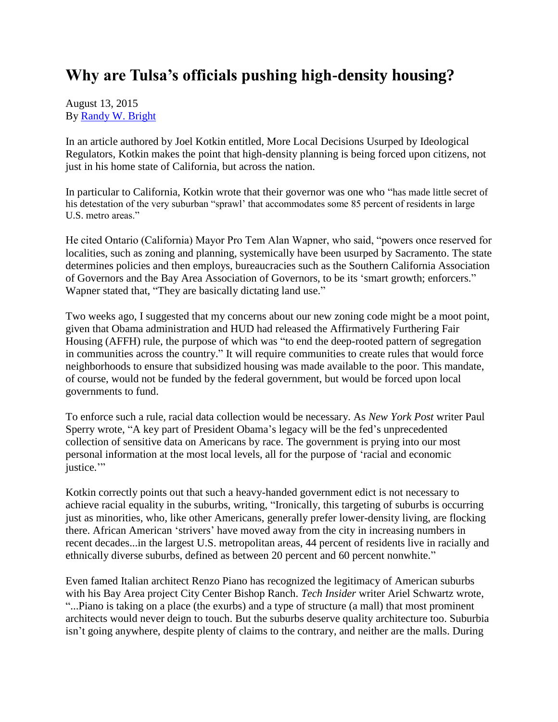## **Why are Tulsa's officials pushing high-density housing?**

August 13, 2015 By [Randy W. Bright](http://www.tulsabeacon.com/author/slug-o6yd1v)

In an article authored by Joel Kotkin entitled, More Local Decisions Usurped by Ideological Regulators, Kotkin makes the point that high-density planning is being forced upon citizens, not just in his home state of California, but across the nation.

In particular to California, Kotkin wrote that their governor was one who "has made little secret of his detestation of the very suburban "sprawl" that accommodates some 85 percent of residents in large U.S. metro areas."

He cited Ontario (California) Mayor Pro Tem Alan Wapner, who said, "powers once reserved for localities, such as zoning and planning, systemically have been usurped by Sacramento. The state determines policies and then employs, bureaucracies such as the Southern California Association of Governors and the Bay Area Association of Governors, to be its "smart growth; enforcers." Wapner stated that, "They are basically dictating land use."

Two weeks ago, I suggested that my concerns about our new zoning code might be a moot point, given that Obama administration and HUD had released the Affirmatively Furthering Fair Housing (AFFH) rule, the purpose of which was "to end the deep-rooted pattern of segregation in communities across the country." It will require communities to create rules that would force neighborhoods to ensure that subsidized housing was made available to the poor. This mandate, of course, would not be funded by the federal government, but would be forced upon local governments to fund.

To enforce such a rule, racial data collection would be necessary. As *New York Post* writer Paul Sperry wrote, "A key part of President Obama"s legacy will be the fed"s unprecedented collection of sensitive data on Americans by race. The government is prying into our most personal information at the most local levels, all for the purpose of "racial and economic justice."

Kotkin correctly points out that such a heavy-handed government edict is not necessary to achieve racial equality in the suburbs, writing, "Ironically, this targeting of suburbs is occurring just as minorities, who, like other Americans, generally prefer lower-density living, are flocking there. African American "strivers" have moved away from the city in increasing numbers in recent decades...in the largest U.S. metropolitan areas, 44 percent of residents live in racially and ethnically diverse suburbs, defined as between 20 percent and 60 percent nonwhite."

Even famed Italian architect Renzo Piano has recognized the legitimacy of American suburbs with his Bay Area project City Center Bishop Ranch. *Tech Insider* writer Ariel Schwartz wrote, "...Piano is taking on a place (the exurbs) and a type of structure (a mall) that most prominent architects would never deign to touch. But the suburbs deserve quality architecture too. Suburbia isn"t going anywhere, despite plenty of claims to the contrary, and neither are the malls. During